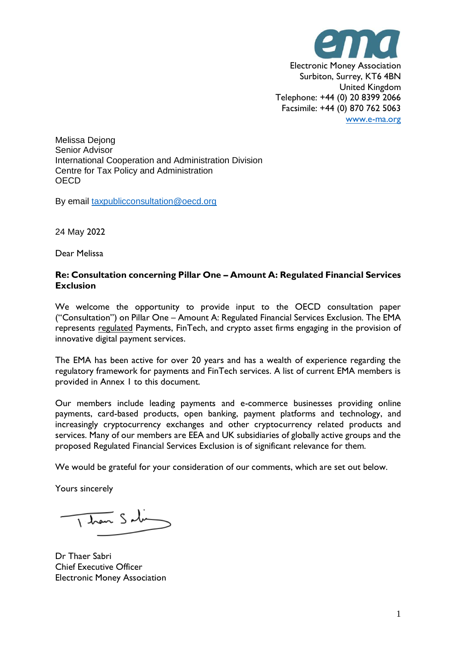

Melissa Dejong Senior Advisor International Cooperation and Administration Division Centre for Tax Policy and Administration **OECD** 

By email [taxpublicconsultation@oecd.org](http://taxpublicconsultation@oecd.org/)

24 May 2022

Dear Melissa

## **Re: Consultation concerning Pillar One – Amount A: Regulated Financial Services Exclusion**

We welcome the opportunity to provide input to the OECD consultation paper ("Consultation") on Pillar One – Amount A: Regulated Financial Services Exclusion. The EMA represents regulated Payments, FinTech, and crypto asset firms engaging in the provision of innovative digital payment services.

The EMA has been active for over 20 years and has a wealth of experience regarding the regulatory framework for payments and FinTech services. A list of current EMA members is provided in Annex 1 to this document.

Our members include leading payments and e-commerce businesses providing online payments, card-based products, open banking, payment platforms and technology, and increasingly cryptocurrency exchanges and other cryptocurrency related products and services. Many of our members are EEA and UK subsidiaries of globally active groups and the proposed Regulated Financial Services Exclusion is of significant relevance for them.

We would be grateful for your consideration of our comments, which are set out below.

Yours sincerely

 $\frac{1}{1}$  then  $S$  ding

Dr Thaer Sabri Chief Executive Officer Electronic Money Association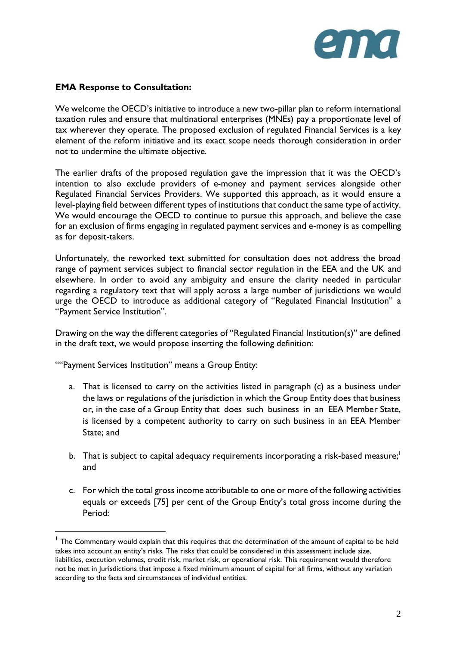

## **EMA Response to Consultation:**

We welcome the OECD's initiative to introduce a new two-pillar plan to reform international taxation rules and ensure that multinational enterprises (MNEs) pay a proportionate level of tax wherever they operate. The proposed exclusion of regulated Financial Services is a key element of the reform initiative and its exact scope needs thorough consideration in order not to undermine the ultimate objective.

The earlier drafts of the proposed regulation gave the impression that it was the OECD's intention to also exclude providers of e-money and payment services alongside other Regulated Financial Services Providers. We supported this approach, as it would ensure a level-playing field between different types of institutions that conduct the same type of activity. We would encourage the OECD to continue to pursue this approach, and believe the case for an exclusion of firms engaging in regulated payment services and e-money is as compelling as for deposit-takers.

Unfortunately, the reworked text submitted for consultation does not address the broad range of payment services subject to financial sector regulation in the EEA and the UK and elsewhere. In order to avoid any ambiguity and ensure the clarity needed in particular regarding a regulatory text that will apply across a large number of jurisdictions we would urge the OECD to introduce as additional category of "Regulated Financial Institution" a "Payment Service Institution".

Drawing on the way the different categories of "Regulated Financial Institution(s)" are defined in the draft text, we would propose inserting the following definition:

""Payment Services Institution" means a Group Entity:

- a. That is licensed to carry on the activities listed in paragraph (c) as a business under the laws or regulations of the jurisdiction in which the Group Entity does that business or, in the case of a Group Entity that does such business in an EEA Member State, is licensed by a competent authority to carry on such business in an EEA Member State; and
- b. That is subject to capital adequacy requirements incorporating a risk-based measure;<sup>1</sup> and
- c. For which the total gross income attributable to one or more of the following activities equals or exceeds [75] per cent of the Group Entity's total gross income during the Period:

<sup>&</sup>lt;sup>1</sup> The Commentary would explain that this requires that the determination of the amount of capital to be held takes into account an entity's risks. The risks that could be considered in this assessment include size, liabilities, execution volumes, credit risk, market risk, or operational risk. This requirement would therefore not be met in Jurisdictions that impose a fixed minimum amount of capital for all firms, without any variation according to the facts and circumstances of individual entities.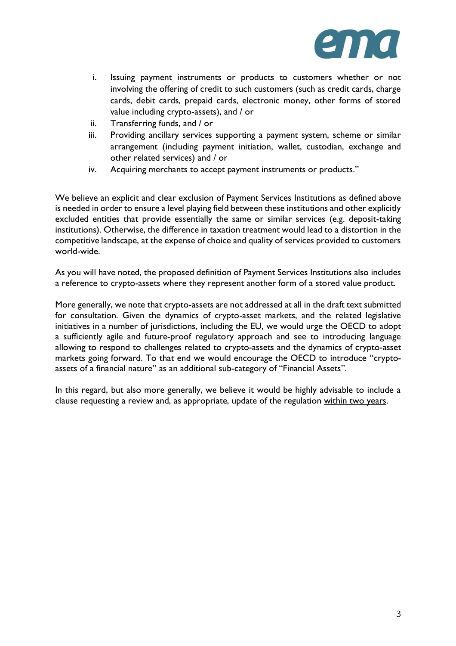

- i. Issuing payment instruments or products to customers whether or not involving the offering of credit to such customers (such as credit cards, charge cards, debit cards, prepaid cards, electronic money, other forms of stored value including crypto-assets), and / or
- ii. Transferring funds, and / or
- iii. Providing ancillary services supporting a payment system, scheme or similar arrangement (including payment initiation, wallet, custodian, exchange and other related services) and / or
- iv. Acquiring merchants to accept payment instruments or products."

We believe an explicit and clear exclusion of Payment Services Institutions as defined above is needed in order to ensure a level playing field between these institutions and other explicitly excluded entities that provide essentially the same or similar services (e.g. deposit-taking institutions). Otherwise, the difference in taxation treatment would lead to a distortion in the competitive landscape, at the expense of choice and quality of services provided to customers world-wide.

As you will have noted, the proposed definition of Payment Services Institutions also includes a reference to crypto-assets where they represent another form of a stored value product.

More generally, we note that crypto-assets are not addressed at all in the draft text submitted for consultation. Given the dynamics of crypto-asset markets, and the related legislative initiatives in a number of jurisdictions, including the EU, we would urge the OECD to adopt a sufficiently agile and future-proof regulatory approach and see to introducing language allowing to respond to challenges related to crypto-assets and the dynamics of crypto-asset markets going forward. To that end we would encourage the OECD to introduce "cryptoassets of a financial nature" as an additional sub-category of "Financial Assets".

In this regard, but also more generally, we believe it would be highly advisable to include a clause requesting a review and, as appropriate, update of the regulation within two years.